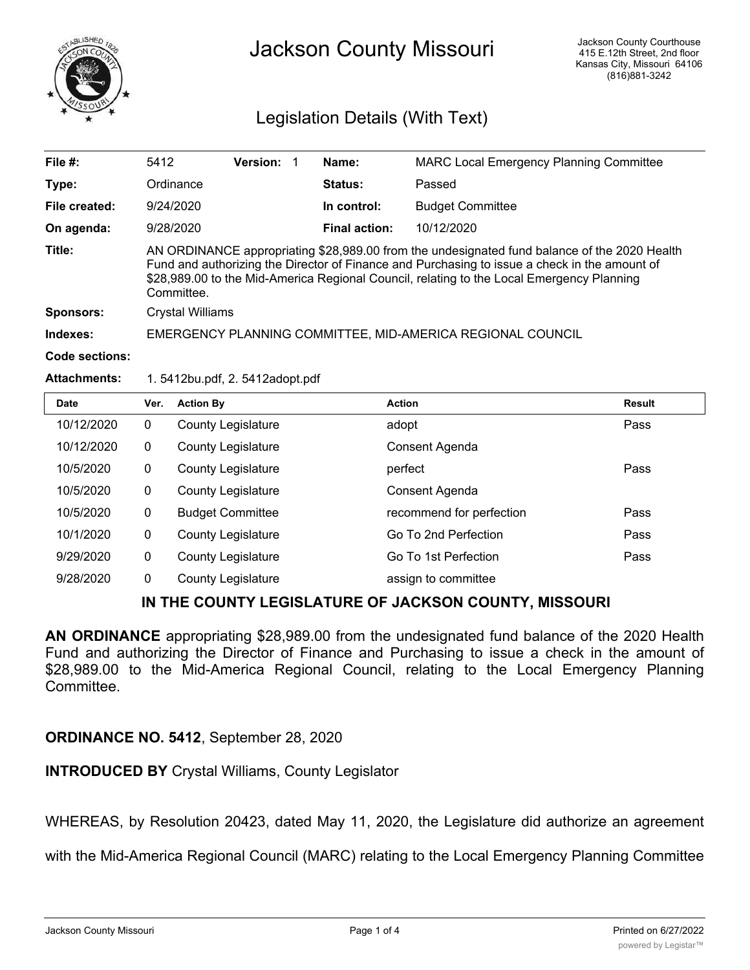

# Jackson County Missouri

## Legislation Details (With Text)

| File #:             | 5412                                                                                                                                                                                                                                                                                                     | <b>Version:</b> |  | Name:                | <b>MARC Local Emergency Planning Committee</b> |
|---------------------|----------------------------------------------------------------------------------------------------------------------------------------------------------------------------------------------------------------------------------------------------------------------------------------------------------|-----------------|--|----------------------|------------------------------------------------|
| Type:               | Ordinance                                                                                                                                                                                                                                                                                                |                 |  | Status:              | Passed                                         |
| File created:       | 9/24/2020                                                                                                                                                                                                                                                                                                |                 |  | In control:          | <b>Budget Committee</b>                        |
| On agenda:          | 9/28/2020                                                                                                                                                                                                                                                                                                |                 |  | <b>Final action:</b> | 10/12/2020                                     |
| Title:              | AN ORDINANCE appropriating \$28,989.00 from the undesignated fund balance of the 2020 Health<br>Fund and authorizing the Director of Finance and Purchasing to issue a check in the amount of<br>\$28,989.00 to the Mid-America Regional Council, relating to the Local Emergency Planning<br>Committee. |                 |  |                      |                                                |
| <b>Sponsors:</b>    | Crystal Williams                                                                                                                                                                                                                                                                                         |                 |  |                      |                                                |
| Indexes:            | EMERGENCY PLANNING COMMITTEE, MID-AMERICA REGIONAL COUNCIL                                                                                                                                                                                                                                               |                 |  |                      |                                                |
| Code sections:      |                                                                                                                                                                                                                                                                                                          |                 |  |                      |                                                |
| <b>Attachments:</b> | 1.5412bu.pdf, 2.5412adopt.pdf                                                                                                                                                                                                                                                                            |                 |  |                      |                                                |

| <b>Date</b> | Ver.         | <b>Action By</b>          | <b>Action</b>            | <b>Result</b> |
|-------------|--------------|---------------------------|--------------------------|---------------|
| 10/12/2020  | 0            | <b>County Legislature</b> | adopt                    | Pass          |
| 10/12/2020  | $\mathbf{0}$ | <b>County Legislature</b> | Consent Agenda           |               |
| 10/5/2020   | $\mathbf{0}$ | <b>County Legislature</b> | perfect                  | Pass          |
| 10/5/2020   | $\mathbf 0$  | <b>County Legislature</b> | Consent Agenda           |               |
| 10/5/2020   | $\mathbf{0}$ | <b>Budget Committee</b>   | recommend for perfection | Pass          |
| 10/1/2020   | $\mathbf{0}$ | <b>County Legislature</b> | Go To 2nd Perfection     | Pass          |
| 9/29/2020   | 0            | <b>County Legislature</b> | Go To 1st Perfection     | Pass          |
| 9/28/2020   | $\mathbf{0}$ | <b>County Legislature</b> | assign to committee      |               |
|             |              |                           |                          |               |

### **IN THE COUNTY LEGISLATURE OF JACKSON COUNTY, MISSOURI**

**AN ORDINANCE** appropriating \$28,989.00 from the undesignated fund balance of the 2020 Health Fund and authorizing the Director of Finance and Purchasing to issue a check in the amount of \$28,989.00 to the Mid-America Regional Council, relating to the Local Emergency Planning Committee.

### **ORDINANCE NO. 5412**, September 28, 2020

**INTRODUCED BY** Crystal Williams, County Legislator

WHEREAS, by Resolution 20423, dated May 11, 2020, the Legislature did authorize an agreement

with the Mid-America Regional Council (MARC) relating to the Local Emergency Planning Committee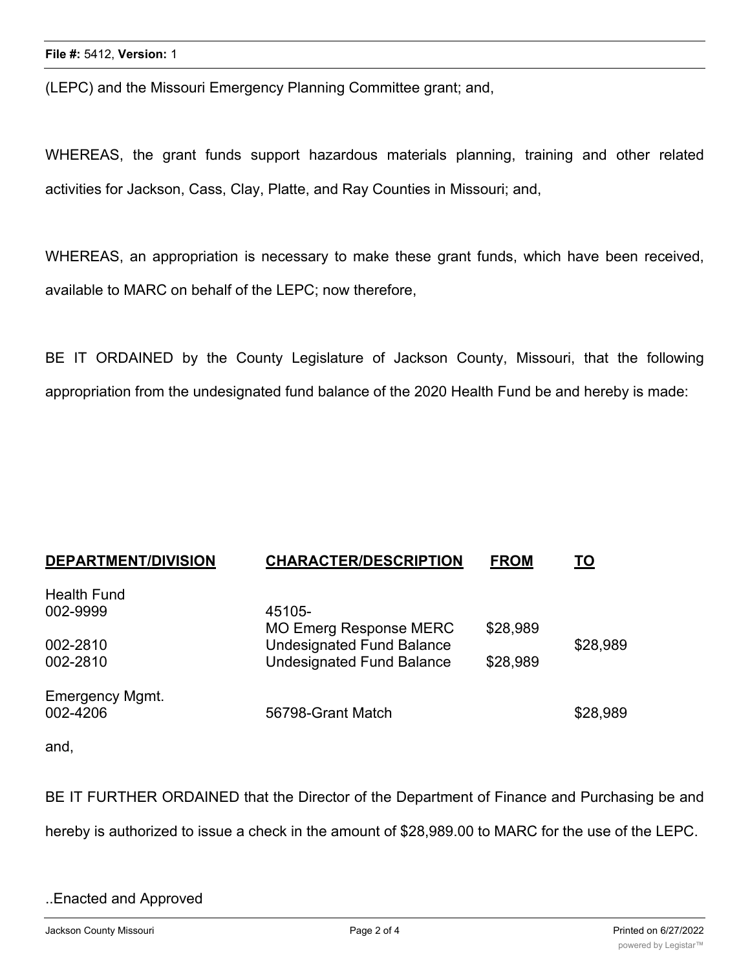(LEPC) and the Missouri Emergency Planning Committee grant; and,

WHEREAS, the grant funds support hazardous materials planning, training and other related activities for Jackson, Cass, Clay, Platte, and Ray Counties in Missouri; and,

WHEREAS, an appropriation is necessary to make these grant funds, which have been received, available to MARC on behalf of the LEPC; now therefore,

BE IT ORDAINED by the County Legislature of Jackson County, Missouri, that the following appropriation from the undesignated fund balance of the 2020 Health Fund be and hereby is made:

| <b>DEPARTMENT/DIVISION</b> | <b>CHARACTER/DESCRIPTION</b>     | <b>FROM</b> | TO       |
|----------------------------|----------------------------------|-------------|----------|
| <b>Health Fund</b>         |                                  |             |          |
| 002-9999                   | 45105-                           |             |          |
|                            | <b>MO Emerg Response MERC</b>    | \$28,989    |          |
| 002-2810                   | <b>Undesignated Fund Balance</b> |             | \$28,989 |
| 002-2810                   | <b>Undesignated Fund Balance</b> | \$28,989    |          |
|                            |                                  |             |          |
| <b>Emergency Mgmt.</b>     |                                  |             |          |
| 002-4206                   | 56798-Grant Match                |             | \$28,989 |
|                            |                                  |             |          |

and,

BE IT FURTHER ORDAINED that the Director of the Department of Finance and Purchasing be and hereby is authorized to issue a check in the amount of \$28,989.00 to MARC for the use of the LEPC.

#### ..Enacted and Approved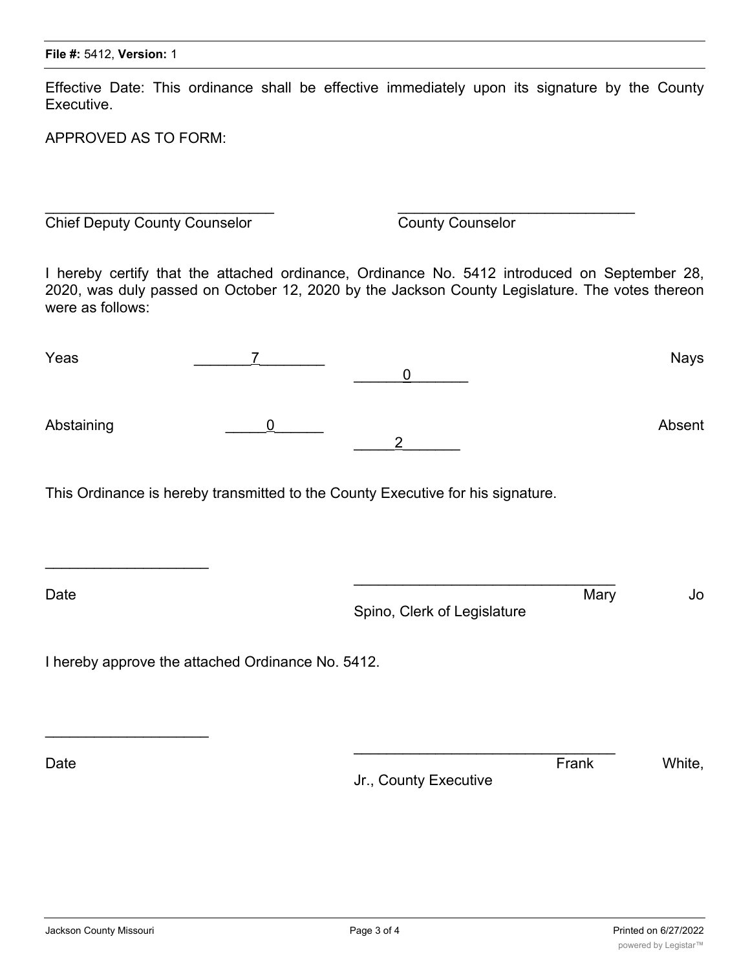Effective Date: This ordinance shall be effective immediately upon its signature by the County Executive.

APPROVED AS TO FORM:

**Chief Deputy County Counselor** County Counselor

I hereby certify that the attached ordinance, Ordinance No. 5412 introduced on September 28, 2020, was duly passed on October 12, 2020 by the Jackson County Legislature. The votes thereon were as follows:

 $\overline{\phantom{a}}$  , and the contract of the contract of the contract of the contract of the contract of the contract of the contract of the contract of the contract of the contract of the contract of the contract of the contrac

| Yeas       | $\overline{7}$                                    | $\mathbf 0$                                                                     |       | <b>Nays</b> |
|------------|---------------------------------------------------|---------------------------------------------------------------------------------|-------|-------------|
| Abstaining | $\mathbf 0$                                       | $\overline{2}$                                                                  |       | Absent      |
|            |                                                   | This Ordinance is hereby transmitted to the County Executive for his signature. |       |             |
| Date       |                                                   | Spino, Clerk of Legislature                                                     | Mary  | Jo          |
|            | I hereby approve the attached Ordinance No. 5412. |                                                                                 |       |             |
| Date       |                                                   | Jr., County Executive                                                           | Frank | White,      |